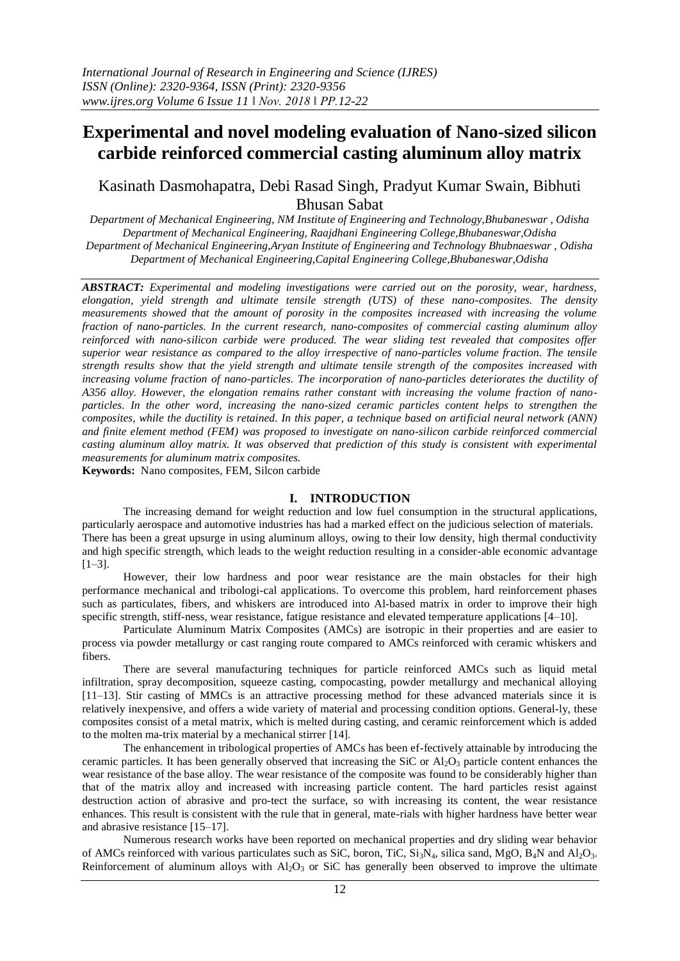# **Experimental and novel modeling evaluation of Nano-sized silicon carbide reinforced commercial casting aluminum alloy matrix**

# Kasinath Dasmohapatra, Debi Rasad Singh, Pradyut Kumar Swain, Bibhuti Bhusan Sabat

*Department of Mechanical Engineering, NM Institute of Engineering and Technology,Bhubaneswar , Odisha Department of Mechanical Engineering, Raajdhani Engineering College,Bhubaneswar,Odisha Department of Mechanical Engineering,Aryan Institute of Engineering and Technology Bhubnaeswar , Odisha Department of Mechanical Engineering,Capital Engineering College,Bhubaneswar,Odisha*

*ABSTRACT: Experimental and modeling investigations were carried out on the porosity, wear, hardness, elongation, yield strength and ultimate tensile strength (UTS) of these nano-composites. The density measurements showed that the amount of porosity in the composites increased with increasing the volume fraction of nano-particles. In the current research, nano-composites of commercial casting aluminum alloy reinforced with nano-silicon carbide were produced. The wear sliding test revealed that composites offer superior wear resistance as compared to the alloy irrespective of nano-particles volume fraction. The tensile strength results show that the yield strength and ultimate tensile strength of the composites increased with*  increasing volume fraction of nano-particles. The incorporation of nano-particles deteriorates the ductility of *A356 alloy. However, the elongation remains rather constant with increasing the volume fraction of nanoparticles. In the other word, increasing the nano-sized ceramic particles content helps to strengthen the composites, while the ductility is retained. In this paper, a technique based on artificial neural network (ANN) and finite element method (FEM) was proposed to investigate on nano-silicon carbide reinforced commercial casting aluminum alloy matrix. It was observed that prediction of this study is consistent with experimental measurements for aluminum matrix composites.*

**Keywords:** Nano composites, FEM, Silcon carbide

### **I. INTRODUCTION**

The increasing demand for weight reduction and low fuel consumption in the structural applications, particularly aerospace and automotive industries has had a marked effect on the judicious selection of materials. There has been a great upsurge in using aluminum alloys, owing to their low density, high thermal conductivity and high specific strength, which leads to the weight reduction resulting in a consider-able economic advantage  $[1-3]$ .

However, their low hardness and poor wear resistance are the main obstacles for their high performance mechanical and tribologi-cal applications. To overcome this problem, hard reinforcement phases such as particulates, fibers, and whiskers are introduced into Al-based matrix in order to improve their high specific strength, stiff-ness, wear resistance, fatigue resistance and elevated temperature applications [\[4–10\].](#page-8-0)

Particulate Aluminum Matrix Composites (AMCs) are isotropic in their properties and are easier to process via powder metallurgy or cast ranging route compared to AMCs reinforced with ceramic whiskers and fibers.

There are several manufacturing techniques for particle reinforced AMCs such as liquid metal infiltration, spray decomposition, squeeze casting, compocasting, powder metallurgy and mechanical alloying [\[11–13\].](#page-8-0) Stir casting of MMCs is an attractive processing method for these advanced materials since it is relatively inexpensive, and offers a wide variety of material and processing condition options. General-ly, these composites consist of a metal matrix, which is melted during casting, and ceramic reinforcement which is added to the molten ma-trix material by a mechanical stirrer [\[14\].](#page-8-0)

The enhancement in tribological properties of AMCs has been ef-fectively attainable by introducing the ceramic particles. It has been generally observed that increasing the SiC or  $Al_2O_3$  particle content enhances the wear resistance of the base alloy. The wear resistance of the composite was found to be considerably higher than that of the matrix alloy and increased with increasing particle content. The hard particles resist against destruction action of abrasive and pro-tect the surface, so with increasing its content, the wear resistance enhances. This result is consistent with the rule that in general, mate-rials with higher hardness have better wear and abrasive resistanc[e \[15–17\].](#page-8-0)

Numerous research works have been reported on mechanical properties and dry sliding wear behavior of AMCs reinforced with various particulates such as SiC, boron, TiC, Si<sub>3</sub>N<sub>4</sub>, silica sand, MgO, B<sub>4</sub>N and Al<sub>2</sub>O<sub>3</sub>. Reinforcement of aluminum alloys with  $A_1O_3$  or SiC has generally been observed to improve the ultimate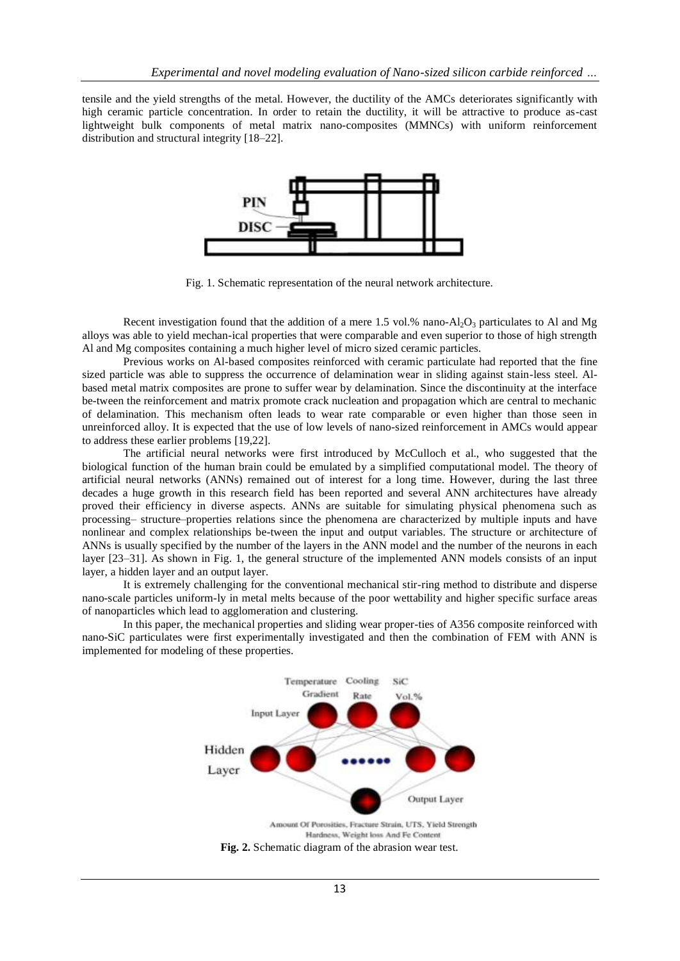tensile and the yield strengths of the metal. However, the ductility of the AMCs deteriorates significantly with high ceramic particle concentration. In order to retain the ductility, it will be attractive to produce as-cast lightweight bulk components of metal matrix nano-composites (MMNCs) with uniform reinforcement distribution and structural integrity [\[18–22\].](#page-8-0)

<span id="page-1-0"></span>

Fig. 1. Schematic representation of the neural network architecture.

Recent investigation found that the addition of a mere 1.5 vol.% nano- $Al_2O_3$  particulates to Al and Mg alloys was able to yield mechan-ical properties that were comparable and even superior to those of high strength Al and Mg composites containing a much higher level of micro sized ceramic particles.

Previous works on Al-based composites reinforced with ceramic particulate had reported that the fine sized particle was able to suppress the occurrence of delamination wear in sliding against stain-less steel. Albased metal matrix composites are prone to suffer wear by delamination. Since the discontinuity at the interface be-tween the reinforcement and matrix promote crack nucleation and propagation which are central to mechanic of delamination. This mechanism often leads to wear rate comparable or even higher than those seen in unreinforced alloy. It is expected that the use of low levels of nano-sized reinforcement in AMCs would appear to address these earlier problems [\[19,22\].](#page-8-0)

The artificial neural networks were first introduced by McCulloch et al., who suggested that the biological function of the human brain could be emulated by a simplified computational model. The theory of artificial neural networks (ANNs) remained out of interest for a long time. However, during the last three decades a huge growth in this research field has been reported and several ANN architectures have already proved their efficiency in diverse aspects. ANNs are suitable for simulating physical phenomena such as processing– structure–properties relations since the phenomena are characterized by multiple inputs and have nonlinear and complex relationships be-tween the input and output variables. The structure or architecture of ANNs is usually specified by the number of the layers in the ANN model and the number of the neurons in each layer [\[23–31\].](#page-8-0) As shown in [Fig. 1,](#page-1-0) the general structure of the implemented ANN models consists of an input layer, a hidden layer and an output layer.

It is extremely challenging for the conventional mechanical stir-ring method to distribute and disperse nano-scale particles uniform-ly in metal melts because of the poor wettability and higher specific surface areas of nanoparticles which lead to agglomeration and clustering.

In this paper, the mechanical properties and sliding wear proper-ties of A356 composite reinforced with nano-SiC particulates were first experimentally investigated and then the combination of FEM with ANN is implemented for modeling of these properties.

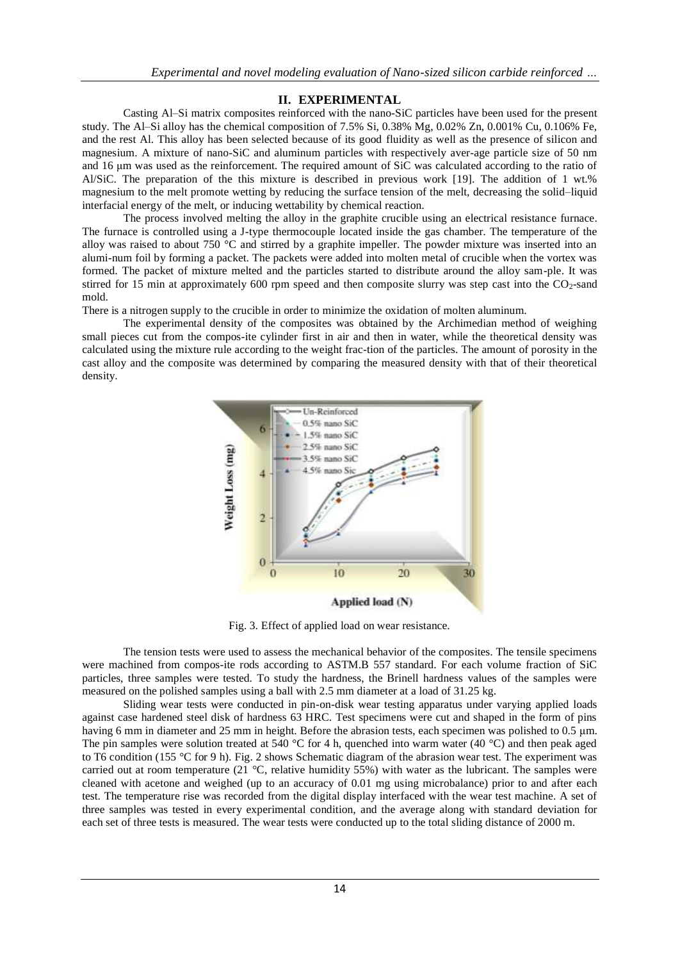# **II. EXPERIMENTAL**

Casting Al–Si matrix composites reinforced with the nano-SiC particles have been used for the present study. The Al–Si alloy has the chemical composition of 7.5% Si, 0.38% Mg, 0.02% Zn, 0.001% Cu, 0.106% Fe, and the rest Al. This alloy has been selected because of its good fluidity as well as the presence of silicon and magnesium. A mixture of nano-SiC and aluminum particles with respectively aver-age particle size of 50 nm and 16 μm was used as the reinforcement. The required amount of SiC was calculated according to the ratio of Al/SiC. The preparation of the this mixture is described in previous work [\[19\].](#page-8-0) The addition of 1 wt.% magnesium to the melt promote wetting by reducing the surface tension of the melt, decreasing the solid–liquid interfacial energy of the melt, or inducing wettability by chemical reaction.

The process involved melting the alloy in the graphite crucible using an electrical resistance furnace. The furnace is controlled using a J-type thermocouple located inside the gas chamber. The temperature of the alloy was raised to about 750 °C and stirred by a graphite impeller. The powder mixture was inserted into an alumi-num foil by forming a packet. The packets were added into molten metal of crucible when the vortex was formed. The packet of mixture melted and the particles started to distribute around the alloy sam-ple. It was stirred for 15 min at approximately 600 rpm speed and then composite slurry was step cast into the  $CO<sub>2</sub>$ -sand mold.

There is a nitrogen supply to the crucible in order to minimize the oxidation of molten aluminum.

The experimental density of the composites was obtained by the Archimedian method of weighing small pieces cut from the compos-ite cylinder first in air and then in water, while the theoretical density was calculated using the mixture rule according to the weight frac-tion of the particles. The amount of porosity in the cast alloy and the composite was determined by comparing the measured density with that of their theoretical density.



Fig. 3. Effect of applied load on wear resistance.

<span id="page-2-0"></span>The tension tests were used to assess the mechanical behavior of the composites. The tensile specimens were machined from compos-ite rods according to ASTM.B 557 standard. For each volume fraction of SiC particles, three samples were tested. To study the hardness, the Brinell hardness values of the samples were measured on the polished samples using a ball with 2.5 mm diameter at a load of 31.25 kg.

Sliding wear tests were conducted in pin-on-disk wear testing apparatus under varying applied loads against case hardened steel disk of hardness 63 HRC. Test specimens were cut and shaped in the form of pins having 6 mm in diameter and 25 mm in height. Before the abrasion tests, each specimen was polished to 0.5 μm. The pin samples were solution treated at  $540^{\circ}$ C for 4 h, quenched into warm water (40  $^{\circ}$ C) and then peak aged to T6 condition (155 °C for 9 h). [Fig. 2 s](#page-1-0)hows Schematic diagram of the abrasion wear test. The experiment was carried out at room temperature (21 °C, relative humidity 55%) with water as the lubricant. The samples were cleaned with acetone and weighed (up to an accuracy of 0.01 mg using microbalance) prior to and after each test. The temperature rise was recorded from the digital display interfaced with the wear test machine. A set of three samples was tested in every experimental condition, and the average along with standard deviation for each set of three tests is measured. The wear tests were conducted up to the total sliding distance of 2000 m.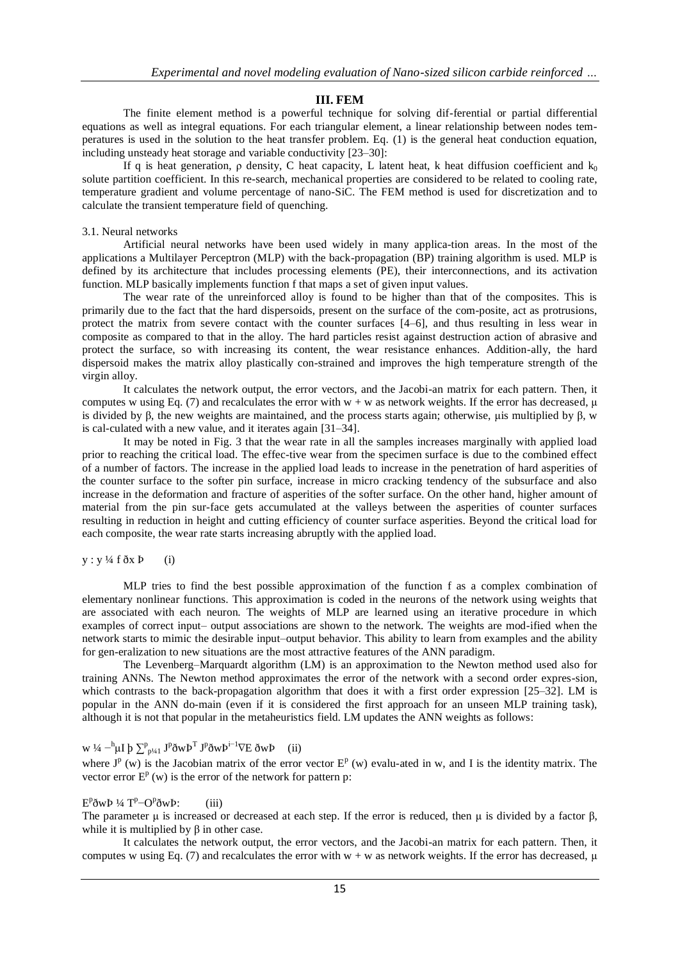### **III. FEM**

The finite element method is a powerful technique for solving dif-ferential or partial differential equations as well as integral equations. For each triangular element, a linear relationship between nodes temperatures is used in the solution to the heat transfer problem. Eq. [\(1\)](#page-2-0) is the general heat conduction equation, including unsteady heat storage and variable conductivity [\[23–30\]:](#page-8-0)

If q is heat generation,  $\rho$  density, C heat capacity, L latent heat, k heat diffusion coefficient and  $k_0$ solute partition coefficient. In this re-search, mechanical properties are considered to be related to cooling rate, temperature gradient and volume percentage of nano-SiC. The FEM method is used for discretization and to calculate the transient temperature field of quenching.

#### 3.1. Neural networks

Artificial neural networks have been used widely in many applica-tion areas. In the most of the applications a Multilayer Perceptron (MLP) with the back-propagation (BP) training algorithm is used. MLP is defined by its architecture that includes processing elements (PE), their interconnections, and its activation function. MLP basically implements function f that maps a set of given input values.

The wear rate of the unreinforced alloy is found to be higher than that of the composites. This is primarily due to the fact that the hard dispersoids, present on the surface of the com-posite, act as protrusions, protect the matrix from severe contact with the counter surfaces [\[4–6\],](#page-8-0) and thus resulting in less wear in composite as compared to that in the alloy. The hard particles resist against destruction action of abrasive and protect the surface, so with increasing its content, the wear resistance enhances. Addition-ally, the hard dispersoid makes the matrix alloy plastically con-strained and improves the high temperature strength of the virgin alloy.

It calculates the network output, the error vectors, and the Jacobi-an matrix for each pattern. Then, it computes w using Eq. [\(7\) a](#page-2-0)nd recalculates the error with  $w + w$  as network weights. If the error has decreased,  $\mu$ is divided by β, the new weights are maintained, and the process starts again; otherwise, μis multiplied by β, w is cal-culated with a new value, and it iterates again [\[31–34\].](#page-8-0)

It may be noted in [Fig. 3](#page-1-0) that the wear rate in all the samples increases marginally with applied load prior to reaching the critical load. The effec-tive wear from the specimen surface is due to the combined effect of a number of factors. The increase in the applied load leads to increase in the penetration of hard asperities of the counter surface to the softer pin surface, increase in micro cracking tendency of the subsurface and also increase in the deformation and fracture of asperities of the softer surface. On the other hand, higher amount of material from the pin sur-face gets accumulated at the valleys between the asperities of counter surfaces resulting in reduction in height and cutting efficiency of counter surface asperities. Beyond the critical load for each composite, the wear rate starts increasing abruptly with the applied load.

#### $y : y \frac{1}{4} f \, \delta x \, P$  (i)

MLP tries to find the best possible approximation of the function f as a complex combination of elementary nonlinear functions. This approximation is coded in the neurons of the network using weights that are associated with each neuron. The weights of MLP are learned using an iterative procedure in which examples of correct input– output associations are shown to the network. The weights are mod-ified when the network starts to mimic the desirable input–output behavior. This ability to learn from examples and the ability for gen-eralization to new situations are the most attractive features of the ANN paradigm.

The Levenberg–Marquardt algorithm (LM) is an approximation to the Newton method used also for training ANNs. The Newton method approximates the error of the network with a second order expres-sion, which contrasts to the back-propagation algorithm that does it with a first order expression [\[25–32\].](#page-8-0) LM is popular in the ANN do-main (even if it is considered the first approach for an unseen MLP training task), although it is not that popular in the metaheuristics field. LM updates the ANN weights as follows:

# w ¼  $^{-h} \mu I \not{p} \sum_{p \nmid 4} J^p \delta w P^T J^p \delta w P^{i-1} \nabla E \delta w P$  (ii)

where  $J^p$  (w) is the Jacobian matrix of the error vector  $E^p$  (w) evalu-ated in w, and I is the identity matrix. The vector error  $E^p(w)$  is the error of the network for pattern p:

# $E^p \eth w P \nvert 4 T^p - O^p \eth w P$ : (iii)

The parameter  $\mu$  is increased or decreased at each step. If the error is reduced, then  $\mu$  is divided by a factor  $\beta$ , while it is multiplied by  $\beta$  in other case.

It calculates the network output, the error vectors, and the Jacobi-an matrix for each pattern. Then, it computes w using Eq. [\(7\) a](#page-2-0)nd recalculates the error with  $w + w$  as network weights. If the error has decreased,  $\mu$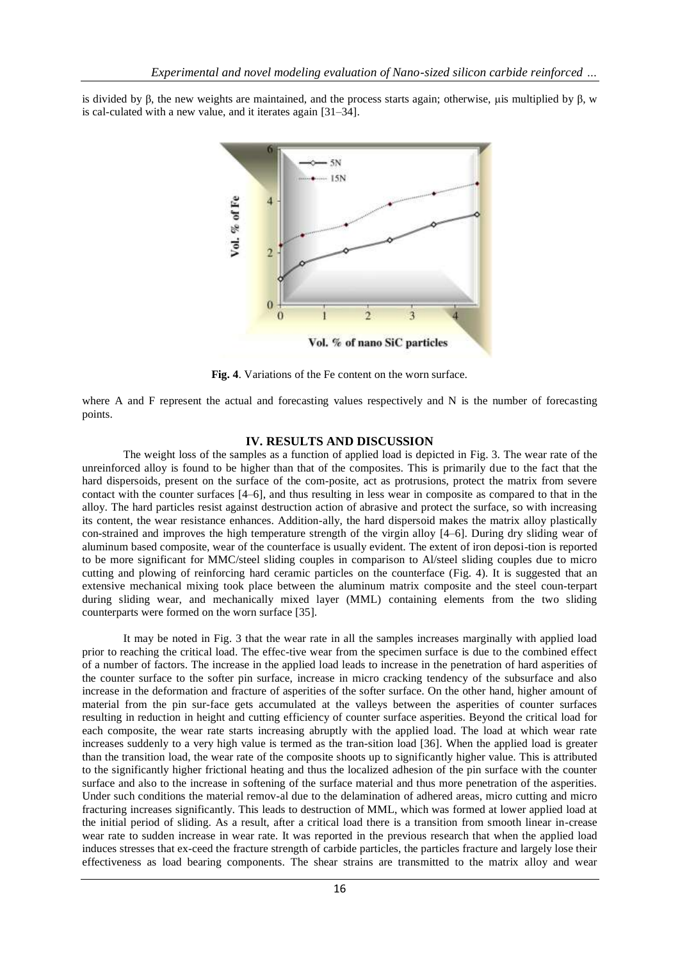<span id="page-4-0"></span>is divided by β, the new weights are maintained, and the process starts again; otherwise, μis multiplied by β, w is cal-culated with a new value, and it iterates again [\[31–34\].](#page-8-0)



**Fig. 4**. Variations of the Fe content on the worn surface.

where A and F represent the actual and forecasting values respectively and N is the number of forecasting points.

#### **IV. RESULTS AND DISCUSSION**

The weight loss of the samples as a function of applied load is depicted in [Fig. 3.](#page-1-0) The wear rate of the unreinforced alloy is found to be higher than that of the composites. This is primarily due to the fact that the hard dispersoids, present on the surface of the com-posite, act as protrusions, protect the matrix from severe contact with the counter surfaces [\[4–6\],](#page-8-0) and thus resulting in less wear in composite as compared to that in the alloy. The hard particles resist against destruction action of abrasive and protect the surface, so with increasing its content, the wear resistance enhances. Addition-ally, the hard dispersoid makes the matrix alloy plastically con-strained and improves the high temperature strength of the virgin alloy [\[4–6\].](#page-8-0) During dry sliding wear of aluminum based composite, wear of the counterface is usually evident. The extent of iron deposi-tion is reported to be more significant for MMC/steel sliding couples in comparison to Al/steel sliding couples due to micro cutting and plowing of reinforcing hard ceramic particles on the counterface [\(Fig. 4\)](#page-4-0). It is suggested that an extensive mechanical mixing took place between the aluminum matrix composite and the steel coun-terpart during sliding wear, and mechanically mixed layer (MML) containing elements from the two sliding counterparts were formed on the worn surface [\[35\].](#page-8-0)

It may be noted in [Fig. 3 t](#page-1-0)hat the wear rate in all the samples increases marginally with applied load prior to reaching the critical load. The effec-tive wear from the specimen surface is due to the combined effect of a number of factors. The increase in the applied load leads to increase in the penetration of hard asperities of the counter surface to the softer pin surface, increase in micro cracking tendency of the subsurface and also increase in the deformation and fracture of asperities of the softer surface. On the other hand, higher amount of material from the pin sur-face gets accumulated at the valleys between the asperities of counter surfaces resulting in reduction in height and cutting efficiency of counter surface asperities. Beyond the critical load for each composite, the wear rate starts increasing abruptly with the applied load. The load at which wear rate increases suddenly to a very high value is termed as the tran-sition load [\[36\].](#page-8-0) When the applied load is greater than the transition load, the wear rate of the composite shoots up to significantly higher value. This is attributed to the significantly higher frictional heating and thus the localized adhesion of the pin surface with the counter surface and also to the increase in softening of the surface material and thus more penetration of the asperities. Under such conditions the material remov-al due to the delamination of adhered areas, micro cutting and micro fracturing increases significantly. This leads to destruction of MML, which was formed at lower applied load at the initial period of sliding. As a result, after a critical load there is a transition from smooth linear in-crease wear rate to sudden increase in wear rate. It was reported in the previous research that when the applied load induces stresses that ex-ceed the fracture strength of carbide particles, the particles fracture and largely lose their effectiveness as load bearing components. The shear strains are transmitted to the matrix alloy and wear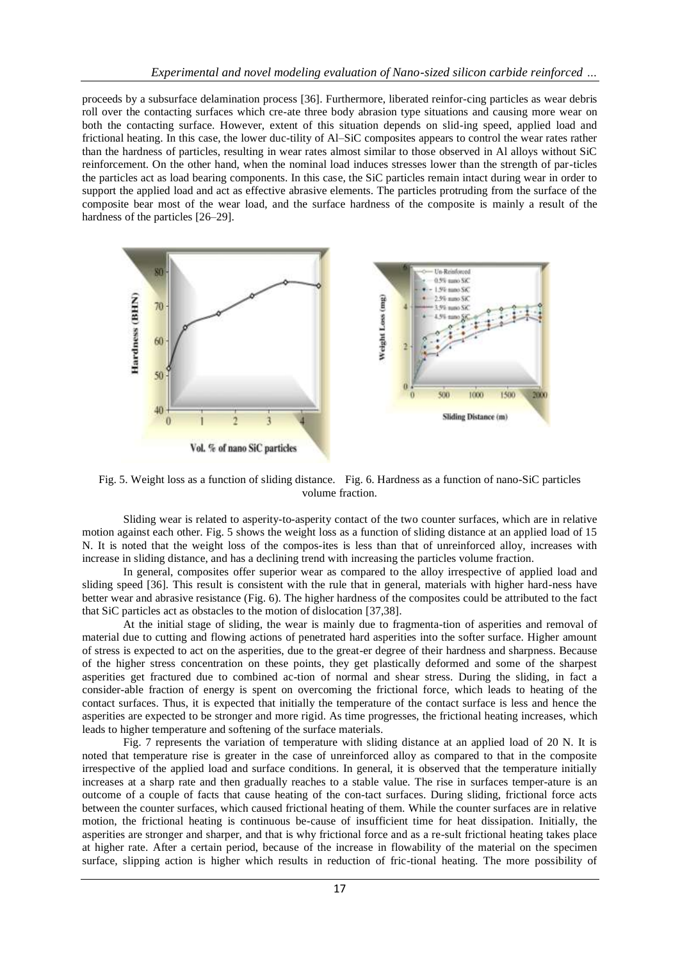proceeds by a subsurface delamination process [\[36\].](#page-8-0) Furthermore, liberated reinfor-cing particles as wear debris roll over the contacting surfaces which cre-ate three body abrasion type situations and causing more wear on both the contacting surface. However, extent of this situation depends on slid-ing speed, applied load and frictional heating. In this case, the lower duc-tility of Al–SiC composites appears to control the wear rates rather than the hardness of particles, resulting in wear rates almost similar to those observed in Al alloys without SiC reinforcement. On the other hand, when the nominal load induces stresses lower than the strength of par-ticles the particles act as load bearing components. In this case, the SiC particles remain intact during wear in order to support the applied load and act as effective abrasive elements. The particles protruding from the surface of the composite bear most of the wear load, and the surface hardness of the composite is mainly a result of the hardness of the particles [\[26–29\].](#page-8-0)



Fig. 5. Weight loss as a function of sliding distance. Fig. 6. Hardness as a function of nano-SiC particles volume fraction.

<span id="page-5-0"></span>Sliding wear is related to asperity-to-asperity contact of the two counter surfaces, which are in relative motion against each other. [Fig. 5 s](#page-4-0)hows the weight loss as a function of sliding distance at an applied load of 15 N. It is noted that the weight loss of the compos-ites is less than that of unreinforced alloy, increases with increase in sliding distance, and has a declining trend with increasing the particles volume fraction.

In general, composites offer superior wear as compared to the alloy irrespective of applied load and sliding speed [\[36\].](#page-8-0) This result is consistent with the rule that in general, materials with higher hard-ness have better wear and abrasive resistance [\(Fig. 6\)](#page-4-0). The higher hardness of the composites could be attributed to the fact that SiC particles act as obstacles to the motion of dislocation [\[37,38\].](#page-10-0)

At the initial stage of sliding, the wear is mainly due to fragmenta-tion of asperities and removal of material due to cutting and flowing actions of penetrated hard asperities into the softer surface. Higher amount of stress is expected to act on the asperities, due to the great-er degree of their hardness and sharpness. Because of the higher stress concentration on these points, they get plastically deformed and some of the sharpest asperities get fractured due to combined ac-tion of normal and shear stress. During the sliding, in fact a consider-able fraction of energy is spent on overcoming the frictional force, which leads to heating of the contact surfaces. Thus, it is expected that initially the temperature of the contact surface is less and hence the asperities are expected to be stronger and more rigid. As time progresses, the frictional heating increases, which leads to higher temperature and softening of the surface materials.

[Fig. 7 r](#page-5-0)epresents the variation of temperature with sliding distance at an applied load of 20 N. It is noted that temperature rise is greater in the case of unreinforced alloy as compared to that in the composite irrespective of the applied load and surface conditions. In general, it is observed that the temperature initially increases at a sharp rate and then gradually reaches to a stable value. The rise in surfaces temper-ature is an outcome of a couple of facts that cause heating of the con-tact surfaces. During sliding, frictional force acts between the counter surfaces, which caused frictional heating of them. While the counter surfaces are in relative motion, the frictional heating is continuous be-cause of insufficient time for heat dissipation. Initially, the asperities are stronger and sharper, and that is why frictional force and as a re-sult frictional heating takes place at higher rate. After a certain period, because of the increase in flowability of the material on the specimen surface, slipping action is higher which results in reduction of fric-tional heating. The more possibility of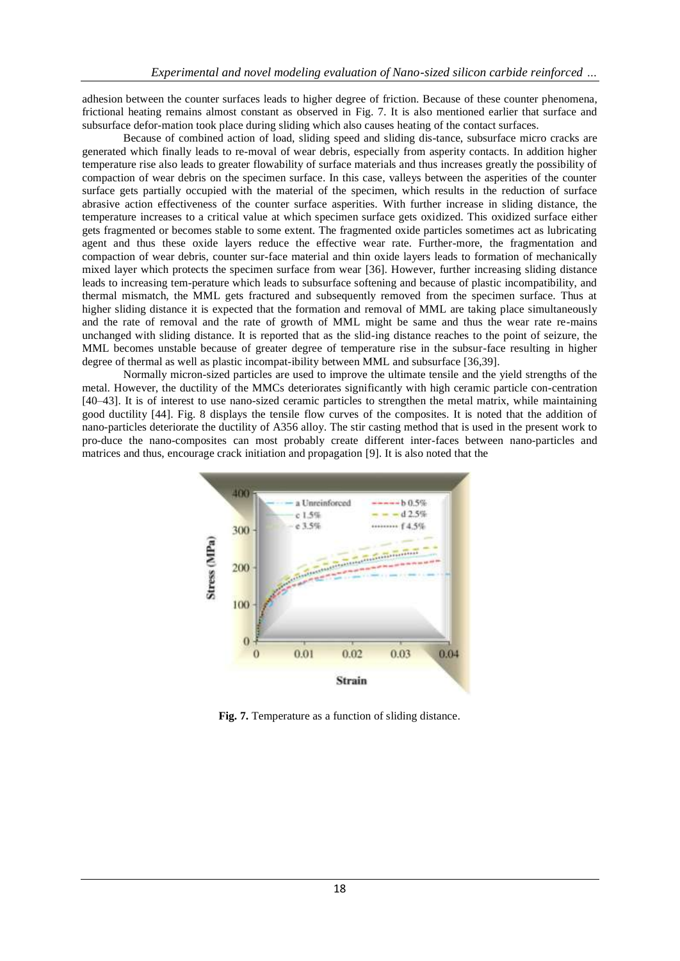adhesion between the counter surfaces leads to higher degree of friction. Because of these counter phenomena, frictional heating remains almost constant as observed in [Fig. 7.](#page-5-0) It is also mentioned earlier that surface and subsurface defor-mation took place during sliding which also causes heating of the contact surfaces.

Because of combined action of load, sliding speed and sliding dis-tance, subsurface micro cracks are generated which finally leads to re-moval of wear debris, especially from asperity contacts. In addition higher temperature rise also leads to greater flowability of surface materials and thus increases greatly the possibility of compaction of wear debris on the specimen surface. In this case, valleys between the asperities of the counter surface gets partially occupied with the material of the specimen, which results in the reduction of surface abrasive action effectiveness of the counter surface asperities. With further increase in sliding distance, the temperature increases to a critical value at which specimen surface gets oxidized. This oxidized surface either gets fragmented or becomes stable to some extent. The fragmented oxide particles sometimes act as lubricating agent and thus these oxide layers reduce the effective wear rate. Further-more, the fragmentation and compaction of wear debris, counter sur-face material and thin oxide layers leads to formation of mechanically mixed layer which protects the specimen surface from wear [\[36\].](#page-8-0) However, further increasing sliding distance leads to increasing tem-perature which leads to subsurface softening and because of plastic incompatibility, and thermal mismatch, the MML gets fractured and subsequently removed from the specimen surface. Thus at higher sliding distance it is expected that the formation and removal of MML are taking place simultaneously and the rate of removal and the rate of growth of MML might be same and thus the wear rate re-mains unchanged with sliding distance. It is reported that as the slid-ing distance reaches to the point of seizure, the MML becomes unstable because of greater degree of temperature rise in the subsur-face resulting in higher degree of thermal as well as plastic incompat-ibility between MML and subsurface [\[36,39\].](#page-8-0)

Normally micron-sized particles are used to improve the ultimate tensile and the yield strengths of the metal. However, the ductility of the MMCs deteriorates significantly with high ceramic particle con-centration [\[40–43\].](#page-10-0) It is of interest to use nano-sized ceramic particles to strengthen the metal matrix, while maintaining good ductility [\[44\].](#page-10-0) [Fig. 8 d](#page-5-0)isplays the tensile flow curves of the composites. It is noted that the addition of nano-particles deteriorate the ductility of A356 alloy. The stir casting method that is used in the present work to pro-duce the nano-composites can most probably create different inter-faces between nano-particles and matrices and thus, encourage crack initiation and propagation [\[9\].](#page-8-0) It is also noted that the



**Fig. 7.** Temperature as a function of sliding distance.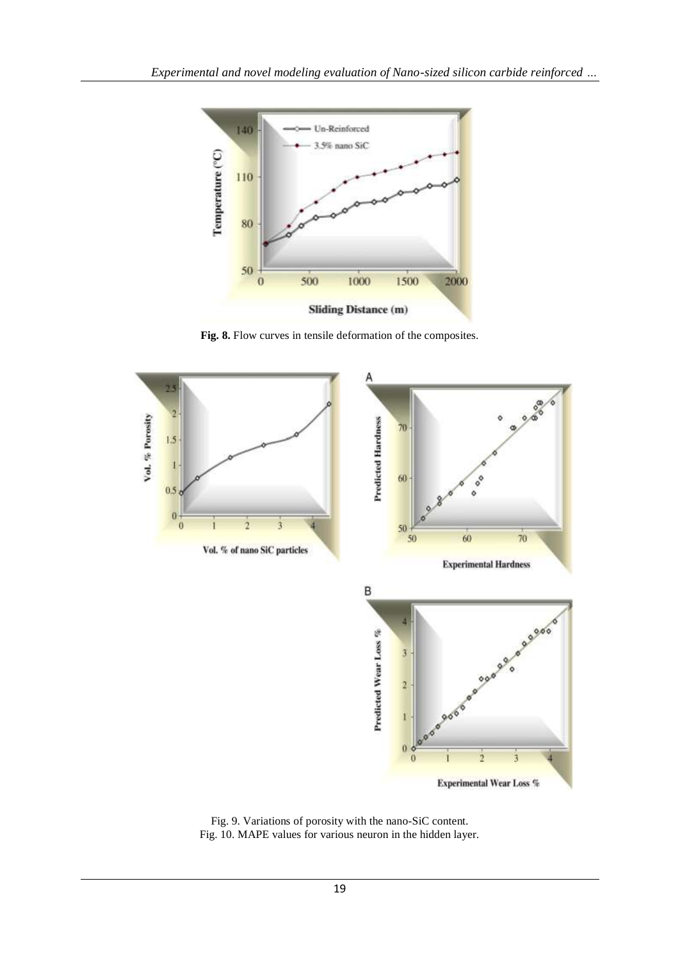

**Fig. 8.** Flow curves in tensile deformation of the composites.

<span id="page-7-0"></span>

Fig. 9. Variations of porosity with the nano-SiC content. Fig. 10. MAPE values for various neuron in the hidden layer.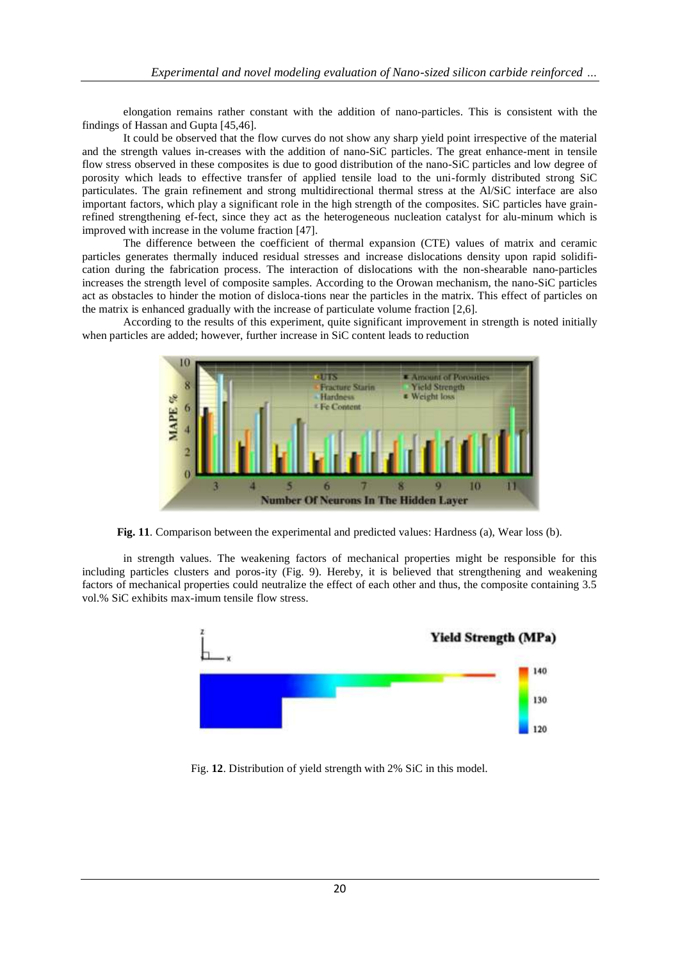<span id="page-8-0"></span>elongation remains rather constant with the addition of nano-particles. This is consistent with the findings of Hassan and Gupta [\[45,46\].](#page-10-0)

It could be observed that the flow curves do not show any sharp yield point irrespective of the material and the strength values in-creases with the addition of nano-SiC particles. The great enhance-ment in tensile flow stress observed in these composites is due to good distribution of the nano-SiC particles and low degree of porosity which leads to effective transfer of applied tensile load to the uni-formly distributed strong SiC particulates. The grain refinement and strong multidirectional thermal stress at the Al/SiC interface are also important factors, which play a significant role in the high strength of the composites. SiC particles have grainrefined strengthening ef-fect, since they act as the heterogeneous nucleation catalyst for alu-minum which is improved with increase in the volume fraction [\[47\].](#page-10-0)

The difference between the coefficient of thermal expansion (CTE) values of matrix and ceramic particles generates thermally induced residual stresses and increase dislocations density upon rapid solidification during the fabrication process. The interaction of dislocations with the non-shearable nano-particles increases the strength level of composite samples. According to the Orowan mechanism, the nano-SiC particles act as obstacles to hinder the motion of disloca-tions near the particles in the matrix. This effect of particles on the matrix is enhanced gradually with the increase of particulate volume fraction [\[2,6\].](#page-8-0)

According to the results of this experiment, quite significant improvement in strength is noted initially when particles are added; however, further increase in SiC content leads to reduction



**Fig. 11**. Comparison between the experimental and predicted values: Hardness (a), Wear loss (b).

in strength values. The weakening factors of mechanical properties might be responsible for this including particles clusters and poros-ity [\(Fig. 9\)](#page-7-0). Hereby, it is believed that strengthening and weakening factors of mechanical properties could neutralize the effect of each other and thus, the composite containing 3.5 vol.% SiC exhibits max-imum tensile flow stress.



Fig. **12**. Distribution of yield strength with 2% SiC in this model.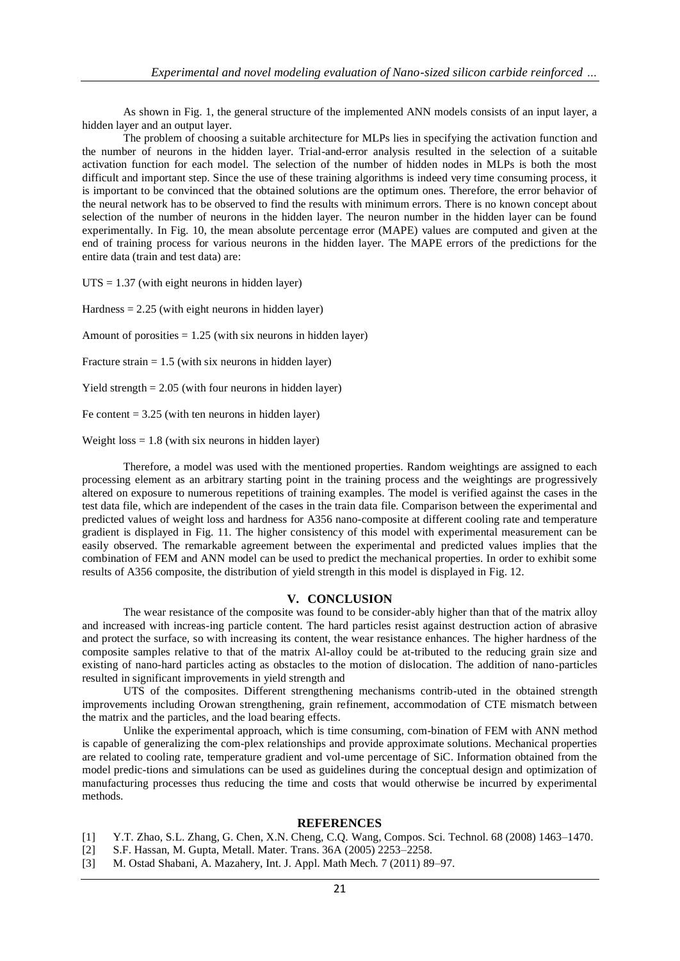As shown in [Fig. 1,](#page-1-0) the general structure of the implemented ANN models consists of an input layer, a hidden layer and an output layer.

The problem of choosing a suitable architecture for MLPs lies in specifying the activation function and the number of neurons in the hidden layer. Trial-and-error analysis resulted in the selection of a suitable activation function for each model. The selection of the number of hidden nodes in MLPs is both the most difficult and important step. Since the use of these training algorithms is indeed very time consuming process, it is important to be convinced that the obtained solutions are the optimum ones. Therefore, the error behavior of the neural network has to be observed to find the results with minimum errors. There is no known concept about selection of the number of neurons in the hidden layer. The neuron number in the hidden layer can be found experimentally. In [Fig. 10,](#page-7-0) the mean absolute percentage error (MAPE) values are computed and given at the end of training process for various neurons in the hidden layer. The MAPE errors of the predictions for the entire data (train and test data) are:

 $UTS = 1.37$  (with eight neurons in hidden layer)

Hardness  $= 2.25$  (with eight neurons in hidden layer)

Amount of porosities  $= 1.25$  (with six neurons in hidden layer)

Fracture strain  $= 1.5$  (with six neurons in hidden layer)

Yield strength = 2.05 (with four neurons in hidden layer)

Fe content  $= 3.25$  (with ten neurons in hidden layer)

Weight  $loss = 1.8$  (with six neurons in hidden layer)

Therefore, a model was used with the mentioned properties. Random weightings are assigned to each processing element as an arbitrary starting point in the training process and the weightings are progressively altered on exposure to numerous repetitions of training examples. The model is verified against the cases in the test data file, which are independent of the cases in the train data file. Comparison between the experimental and predicted values of weight loss and hardness for A356 nano-composite at different cooling rate and temperature gradient is displayed in [Fig. 11.](#page-7-0) The higher consistency of this model with experimental measurement can be easily observed. The remarkable agreement between the experimental and predicted values implies that the combination of FEM and ANN model can be used to predict the mechanical properties. In order to exhibit some results of A356 composite, the distribution of yield strength in this model is displayed i[n Fig. 12.](#page-8-0)

#### **V. CONCLUSION**

The wear resistance of the composite was found to be consider-ably higher than that of the matrix alloy and increased with increas-ing particle content. The hard particles resist against destruction action of abrasive and protect the surface, so with increasing its content, the wear resistance enhances. The higher hardness of the composite samples relative to that of the matrix Al-alloy could be at-tributed to the reducing grain size and existing of nano-hard particles acting as obstacles to the motion of dislocation. The addition of nano-particles resulted in significant improvements in yield strength and

UTS of the composites. Different strengthening mechanisms contrib-uted in the obtained strength improvements including Orowan strengthening, grain refinement, accommodation of CTE mismatch between the matrix and the particles, and the load bearing effects.

Unlike the experimental approach, which is time consuming, com-bination of FEM with ANN method is capable of generalizing the com-plex relationships and provide approximate solutions. Mechanical properties are related to cooling rate, temperature gradient and vol-ume percentage of SiC. Information obtained from the model predic-tions and simulations can be used as guidelines during the conceptual design and optimization of manufacturing processes thus reducing the time and costs that would otherwise be incurred by experimental methods.

#### **REFERENCES**

- [1] Y.T. Zhao, S.L. Zhang, G. Chen, X.N. Cheng, C.Q. Wang, Compos. Sci. Technol. 68 (2008) 1463–1470.
- [2] S.F. Hassan, M. Gupta, Metall. Mater. Trans. 36A (2005) 2253–2258.
- [3] M. Ostad Shabani, A. Mazahery, Int. J. Appl. Math Mech. 7 (2011) 89–97.